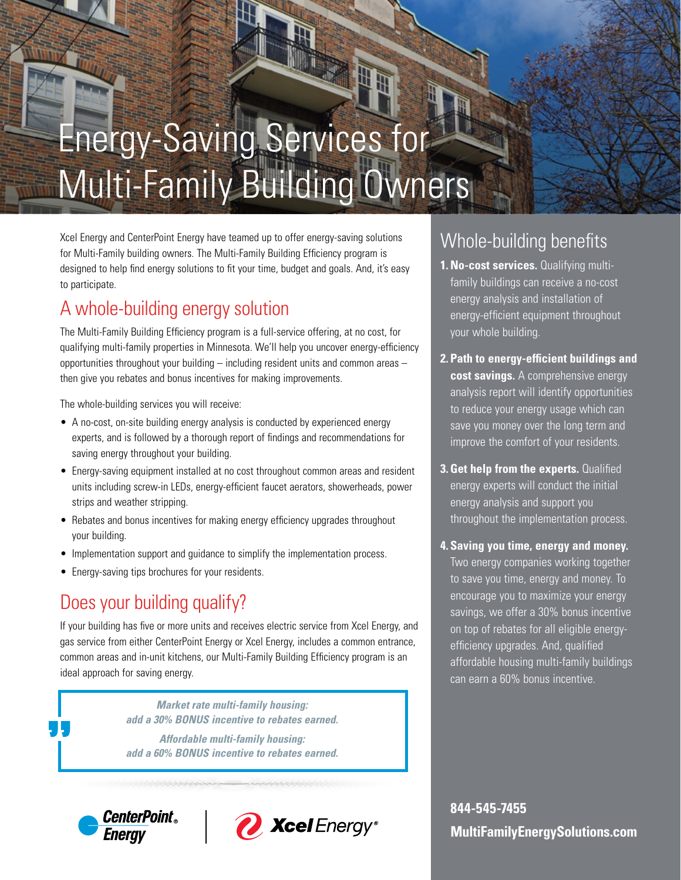# Energy-Saving Services for Multi-Family Building Owners

Xcel Energy and CenterPoint Energy have teamed up to offer energy-saving solutions for Multi-Family building owners. The Multi-Family Building Efficiency program is designed to help find energy solutions to fit your time, budget and goals. And, it's easy to participate.

## A whole-building energy solution

The Multi-Family Building Efficiency program is a full-service offering, at no cost, for qualifying multi-family properties in Minnesota. We'll help you uncover energy-efficiency opportunities throughout your building – including resident units and common areas – then give you rebates and bonus incentives for making improvements.

The whole-building services you will receive:

- A no-cost, on-site building energy analysis is conducted by experienced energy experts, and is followed by a thorough report of findings and recommendations for saving energy throughout your building.
- Energy-saving equipment installed at no cost throughout common areas and resident units including screw-in LEDs, energy-efficient faucet aerators, showerheads, power strips and weather stripping.
- Rebates and bonus incentives for making energy efficiency upgrades throughout your building.
- Implementation support and guidance to simplify the implementation process.
- Energy-saving tips brochures for your residents.

## Does your building qualify?

If your building has five or more units and receives electric service from Xcel Energy, and gas service from either CenterPoint Energy or Xcel Energy, includes a common entrance, common areas and in-unit kitchens, our Multi-Family Building Efficiency program is an ideal approach for saving energy.

> *Market rate multi-family housing: add a 30% BONUS incentive to rebates earned.*

> *Affordable multi-family housing: add a 60% BONUS incentive to rebates earned.*





## Whole-building benefits

- **1. No-cost services.** Qualifying multifamily buildings can receive a no-cost energy analysis and installation of energy-efficient equipment throughout your whole building.
- **2. Path to energy-efficient buildings and cost savings.** A comprehensive energy analysis report will identify opportunities to reduce your energy usage which can save you money over the long term and improve the comfort of your residents.
- **3. Get help from the experts.** Qualified energy experts will conduct the initial energy analysis and support you throughout the implementation process.
- **4. Saving you time, energy and money.**  Two energy companies working together to save you time, energy and money. To encourage you to maximize your energy savings, we offer a 30% bonus incentive on top of rebates for all eligible energyefficiency upgrades. And, qualified affordable housing multi-family buildings can earn a 60% bonus incentive.

**844-545-7455 MultiFamilyEnergySolutions.com**